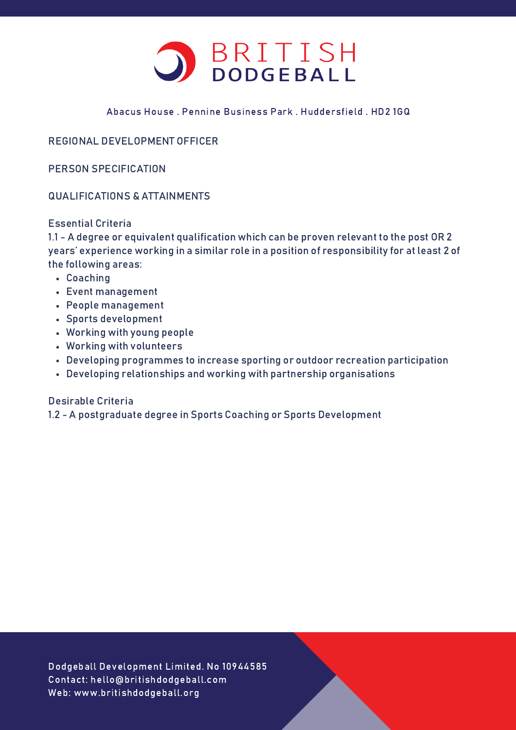

## Abacus House . Pennine Business Park . Huddersfield . HD2 1GQ

# REGIONAL DEVELOPMENT OFFICER

PERSON SPECIFICATION

#### QUALIFICATIONS & ATTAINMENTS

#### Essential Criteria

1.1 - A degree or equivalent qualification which can be proven relevant to the post OR 2 years' experience working in a similar role in a position of responsibility for at least 2 of the following areas:

- Coaching
- Event management
- People management
- Sports development
- Working with young people
- Working with volunteers
- Developing programmes to increase sporting or outdoor recreation participation
- Developing relationships and working with partnership organisations

#### Desirable Criteria

1.2 - A postgraduate degree in Sports Coaching or Sports Development

Dodgeball Development Limited. No 10944585 Contact: hello@britishdodgeball.com Web: www.britishdodgeball.org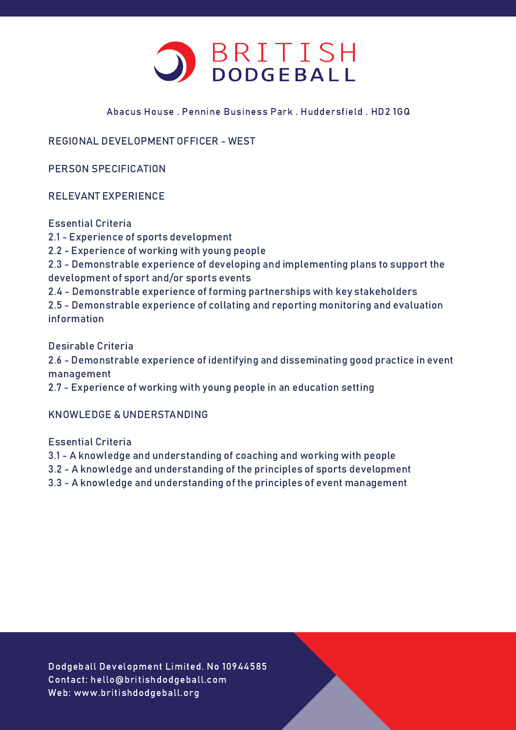

## Abacus House . Pennine Business Park . Huddersfield . HD2 1GQ

REGIONAL DEVELOPMENT OFFICER - WEST

PERSON SPECIFICATION

RELEVANT EXPERIENCE

Essential Criteria

- 2.1 Experience of sports development
- 2.2 Experience of working with young people

2.3 - Demonstrable experience of developing and implementing plans to support the development of sport and/or sports events

2.4 - Demonstrable experience of forming partnerships with key stakeholders

2.5 - Demonstrable experience of collating and reporting monitoring and evaluation information

Desirable Criteria

2.6 - Demonstrable experience of identifying and disseminating good practice in event management

2.7 - Experience of working with young people in an education setting

# KNOWLEDGE & UNDERSTANDING

Essential Criteria

- 3.1 A knowledge and understanding of coaching and working with people
- 3.2 A knowledge and understanding of the principles of sports development
- 3.3 A knowledge and understanding of the principles of event management